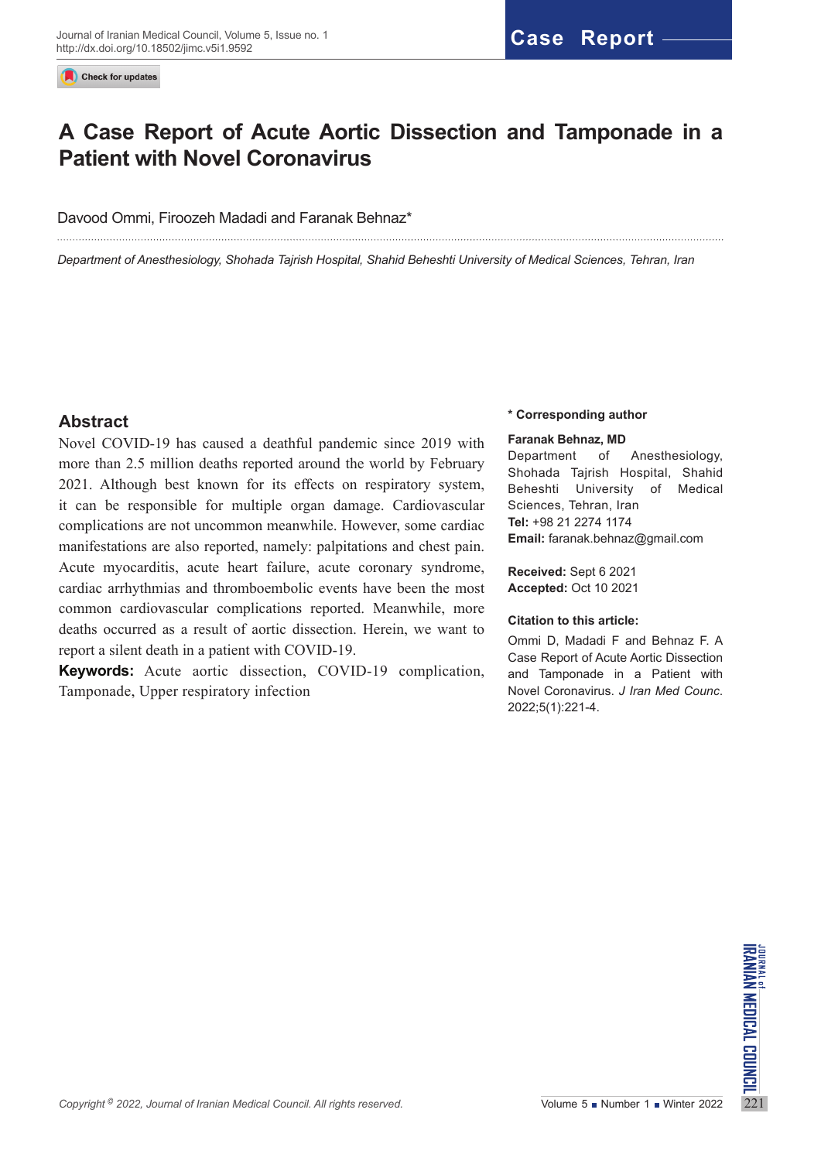Check for updates

# **A Case Report of Acute Aortic Dissection and Tamponade in a Patient with Novel Coronavirus**

#### Davood Ommi, Firoozeh Madadi and Faranak Behnaz\*

*Department of Anesthesiology, Shohada Tajrish Hospital, Shahid Beheshti University of Medical Sciences, Tehran, Iran*

## **Abstract**

Novel COVID-19 has caused a deathful pandemic since 2019 with more than 2.5 million deaths reported around the world by February 2021. Although best known for its effects on respiratory system, it can be responsible for multiple organ damage. Cardiovascular complications are not uncommon meanwhile. However, some cardiac manifestations are also reported, namely: palpitations and chest pain. Acute myocarditis, acute heart failure, acute coronary syndrome, cardiac arrhythmias and thromboembolic events have been the most common cardiovascular complications reported. Meanwhile, more deaths occurred as a result of aortic dissection. Herein, we want to report a silent death in a patient with COVID-19.

**Keywords:** Acute aortic dissection, COVID-19 complication, Tamponade, Upper respiratory infection

#### **\* Corresponding author**

#### **Faranak Behnaz, MD**

Department of Anesthesiology, Shohada Tajrish Hospital, Shahid Beheshti University of Medical Sciences, Tehran, Iran **Tel:** +98 21 2274 1174 **Email:** faranak[.behnaz@gmail.com](mailto:behnaz@gmail.com)

**Received:** Sept 6 2021 **Accepted:** Oct 10 2021

#### **Citation to this article:**

Ommi D, Madadi F and Behnaz F. A Case Report of Acute Aortic Dissection and Tamponade in a Patient with Novel Coronavirus. *J Iran Med Counc*. 2022;5(1):221-4.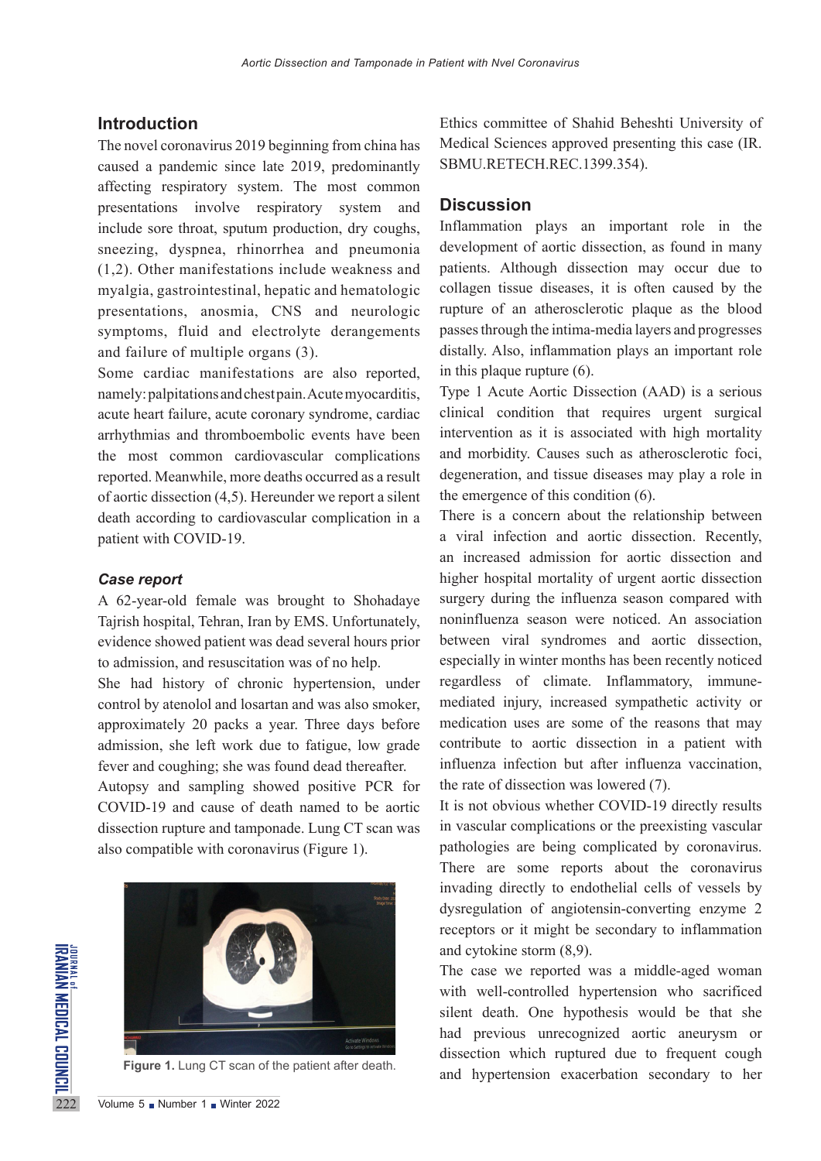## **Introduction**

The novel coronavirus 2019 beginning from china has caused a pandemic since late 2019, predominantly affecting respiratory system. The most common presentations involve respiratory system and include sore throat, sputum production, dry coughs, sneezing, dyspnea, rhinorrhea and pneumonia (1,2). Other manifestations include weakness and myalgia, gastrointestinal, hepatic and hematologic presentations, anosmia, CNS and neurologic symptoms, fluid and electrolyte derangements and failure of multiple organs (3).

Some cardiac manifestations are also reported, namely: palpitations and chest pain. Acute myocarditis, acute heart failure, acute coronary syndrome, cardiac arrhythmias and thromboembolic events have been the most common cardiovascular complications reported. Meanwhile, more deaths occurred as a result of aortic dissection (4,5). Hereunder we report a silent death according to cardiovascular complication in a patient with COVID-19.

### *Case report*

A 62-year-old female was brought to Shohadaye Tajrish hospital, Tehran, Iran by EMS. Unfortunately, evidence showed patient was dead several hours prior to admission, and resuscitation was of no help.

She had history of chronic hypertension, under control by atenolol and losartan and was also smoker, approximately 20 packs a year. Three days before admission, she left work due to fatigue, low grade fever and coughing; she was found dead thereafter.

Autopsy and sampling showed positive PCR for COVID-19 and cause of death named to be aortic dissection rupture and tamponade. Lung CT scan was also compatible with coronavirus (Figure 1).



Ethics committee of Shahid Beheshti University of Medical Sciences approved presenting this case (IR. SBMU.RETECH.REC.1399.354).

### **Discussion**

Inflammation plays an important role in the development of aortic dissection, as found in many patients. Although dissection may occur due to collagen tissue diseases, it is often caused by the rupture of an atherosclerotic plaque as the blood passes through the intima-media layers and progresses distally. Also, inflammation plays an important role in this plaque rupture (6).

Type 1 Acute Aortic Dissection (AAD) is a serious clinical condition that requires urgent surgical intervention as it is associated with high mortality and morbidity. Causes such as atherosclerotic foci, degeneration, and tissue diseases may play a role in the emergence of this condition (6).

There is a concern about the relationship between a viral infection and aortic dissection. Recently, an increased admission for aortic dissection and higher hospital mortality of urgent aortic dissection surgery during the influenza season compared with noninfluenza season were noticed. An association between viral syndromes and aortic dissection, especially in winter months has been recently noticed regardless of climate. Inflammatory, immunemediated injury, increased sympathetic activity or medication uses are some of the reasons that may contribute to aortic dissection in a patient with influenza infection but after influenza vaccination, the rate of dissection was lowered (7).

It is not obvious whether COVID-19 directly results in vascular complications or the preexisting vascular pathologies are being complicated by coronavirus. There are some reports about the coronavirus invading directly to endothelial cells of vessels by dysregulation of angiotensin-converting enzyme 2 receptors or it might be secondary to inflammation and cytokine storm (8,9).

The case we reported was a middle-aged woman with well-controlled hypertension who sacrificed silent death. One hypothesis would be that she had previous unrecognized aortic aneurysm or dissection which ruptured due to frequent cough Figure 1. Lung CT scan of the patient after death.<br>and hypertension exacerbation secondary to her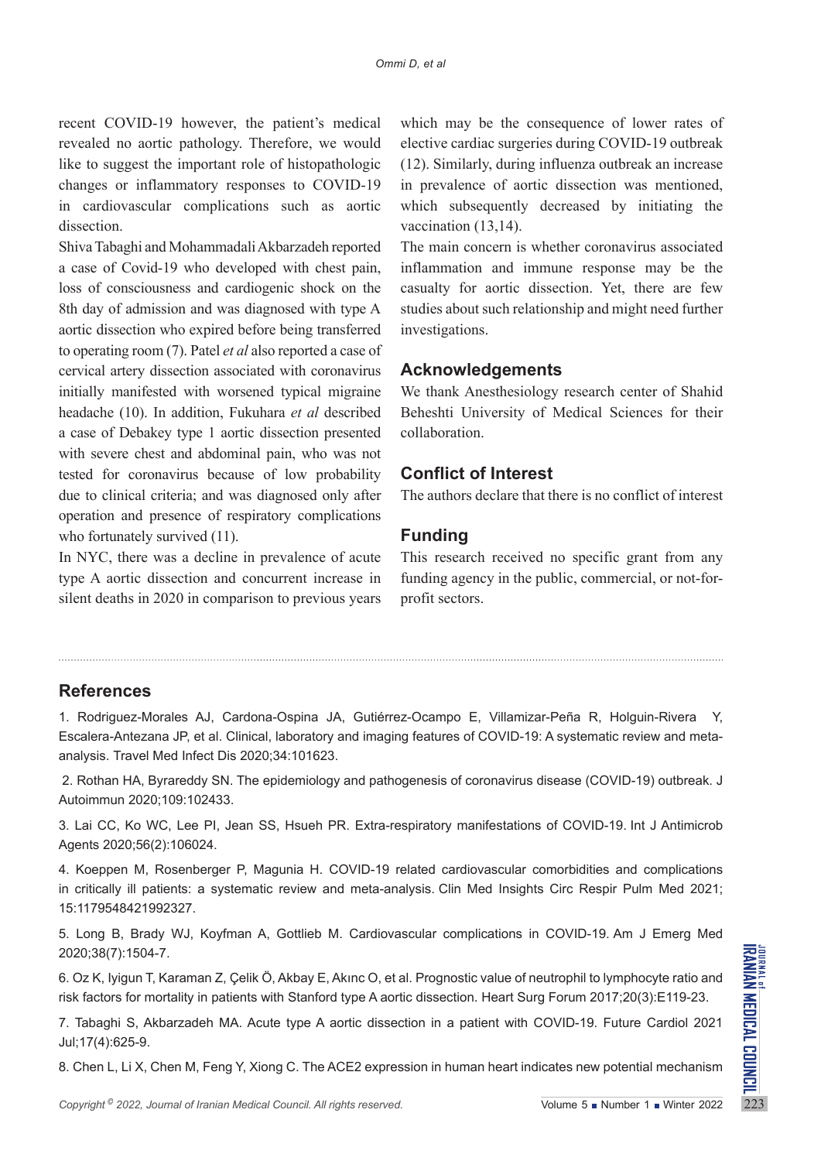recent COVID-19 however, the patient's medical revealed no aortic pathology. Therefore, we would like to suggest the important role of histopathologic changes or inflammatory responses to COVID-19 in cardiovascular complications such as aortic dissection.

Shiva Tabaghi and Mohammadali Akbarzadeh reported a case of Covid-19 who developed with chest pain, loss of consciousness and cardiogenic shock on the 8th day of admission and was diagnosed with type A aortic dissection who expired before being transferred to operating room (7). Patel *et al* also reported a case of cervical artery dissection associated with coronavirus initially manifested with worsened typical migraine headache (10). In addition, Fukuhara *et al* described a case of Debakey type 1 aortic dissection presented with severe chest and abdominal pain, who was not tested for coronavirus because of low probability due to clinical criteria; and was diagnosed only after operation and presence of respiratory complications who fortunately survived  $(11)$ .

In NYC, there was a decline in prevalence of acute type A aortic dissection and concurrent increase in silent deaths in 2020 in comparison to previous years which may be the consequence of lower rates of elective cardiac surgeries during COVID-19 outbreak (12). Similarly, during influenza outbreak an increase in prevalence of aortic dissection was mentioned, which subsequently decreased by initiating the vaccination (13,14).

The main concern is whether coronavirus associated inflammation and immune response may be the casualty for aortic dissection. Yet, there are few studies about such relationship and might need further investigations.

## **Acknowledgements**

We thank Anesthesiology research center of Shahid Beheshti University of Medical Sciences for their collaboration.

## **Conflict of Interest**

The authors declare that there is no conflict of interest

## **Funding**

This research received no specific grant from any funding agency in the public, commercial, or not-forprofit sectors.

## **References**

1. Rodriguez-Morales AJ, Cardona-Ospina JA, Gutiérrez-Ocampo E, Villamizar-Peña R, Holguin-Rivera Y, Escalera-Antezana JP, et al. Clinical, laboratory and imaging features of COVID-19: A systematic review and metaanalysis. Travel Med Infect Dis 2020;34:101623.

 2. Rothan HA, Byrareddy SN. The epidemiology and pathogenesis of coronavirus disease (COVID-19) outbreak. J Autoimmun 2020;109:102433.

3. Lai CC, Ko WC, Lee PI, Jean SS, Hsueh PR. Extra-respiratory manifestations of COVID-19. Int J Antimicrob Agents 2020;56(2):106024.

4. Koeppen M, Rosenberger P, Magunia H. COVID-19 related cardiovascular comorbidities and complications in critically ill patients: a systematic review and meta-analysis. Clin Med Insights Circ Respir Pulm Med 2021; 15:1179548421992327.

5. Long B, Brady WJ, Koyfman A, Gottlieb M. Cardiovascular complications in COVID-19. Am J Emerg Med 2020;38(7):1504-7.

6. Oz K, Iyigun T, Karaman Z, Çelik Ö, Akbay E, Akınc O, et al. Prognostic value of neutrophil to lymphocyte ratio and risk factors for mortality in patients with Stanford type A aortic dissection. Heart Surg Forum 2017;20(3):E119-23.

*Copyright* <sup>©</sup> 2022, *Journal of Iranian Medical Council. All rights reserved.<br>
<i>Copyright* <sup>©</sup> 2022, *Journal of Iranian Medical Council. All rights reserved.<br>
<i>Copyright* © 2022, *Journal of Iranian Medical Council. Al* 7. Tabaghi S, Akbarzadeh MA. Acute type A aortic dissection in a patient with COVID-19. Future Cardiol 2021 Jul;17(4):625-9.

8. Chen L, Li X, Chen M, Feng Y, Xiong C. The ACE2 expression in human heart indicates new potential mechanism